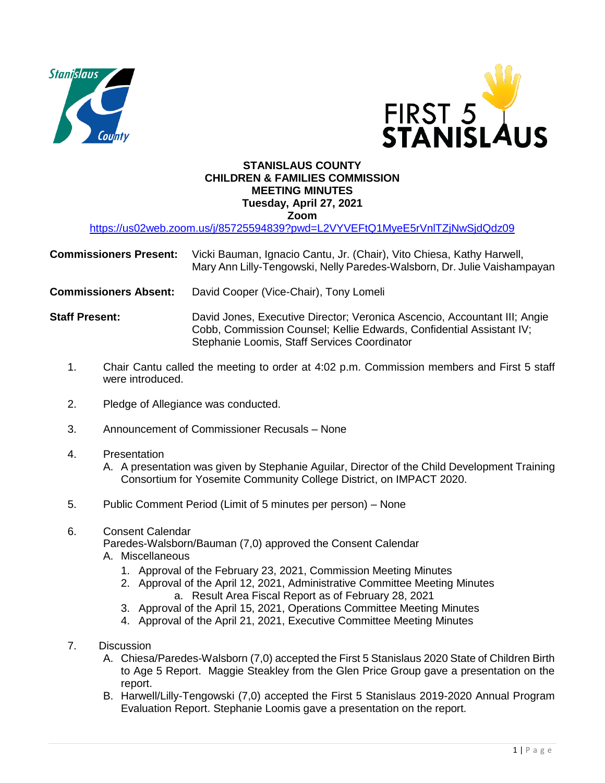



## **STANISLAUS COUNTY CHILDREN & FAMILIES COMMISSION MEETING MINUTES Tuesday, April 27, 2021 Zoom**

<https://us02web.zoom.us/j/85725594839?pwd=L2VYVEFtQ1MyeE5rVnlTZjNwSjdQdz09>

| <b>Commissioners Present:</b> | Vicki Bauman, Ignacio Cantu, Jr. (Chair), Vito Chiesa, Kathy Harwell,<br>Mary Ann Lilly-Tengowski, Nelly Paredes-Walsborn, Dr. Julie Vaishampayan |
|-------------------------------|---------------------------------------------------------------------------------------------------------------------------------------------------|
| <b>Commissioners Absent:</b>  | David Cooper (Vice-Chair), Tony Lomeli                                                                                                            |
| <b>Staff Present:</b>         | David Jones, Executive Director; Veronica Ascencio, Accountant III; Angie<br>Cobb, Commission Counsel; Kellie Edwards, Confidential Assistant IV; |

Stephanie Loomis, Staff Services Coordinator

- 1. Chair Cantu called the meeting to order at 4:02 p.m. Commission members and First 5 staff were introduced.
- 2. Pledge of Allegiance was conducted.
- 3. Announcement of Commissioner Recusals None
- 4. Presentation

A. A presentation was given by Stephanie Aguilar, Director of the Child Development Training Consortium for Yosemite Community College District, on IMPACT 2020.

- 5. Public Comment Period (Limit of 5 minutes per person) None
- 6. Consent Calendar

Paredes-Walsborn/Bauman (7,0) approved the Consent Calendar

- A. Miscellaneous
	- 1. Approval of the February 23, 2021, Commission Meeting Minutes
	- 2. Approval of the April 12, 2021, Administrative Committee Meeting Minutes a. Result Area Fiscal Report as of February 28, 2021
	- 3. Approval of the April 15, 2021, Operations Committee Meeting Minutes
	- 4. Approval of the April 21, 2021, Executive Committee Meeting Minutes
- 7. Discussion
	- A. Chiesa/Paredes-Walsborn (7,0) accepted the First 5 Stanislaus 2020 State of Children Birth to Age 5 Report. Maggie Steakley from the Glen Price Group gave a presentation on the report.
	- B. Harwell/Lilly-Tengowski (7,0) accepted the First 5 Stanislaus 2019-2020 Annual Program Evaluation Report. Stephanie Loomis gave a presentation on the report.